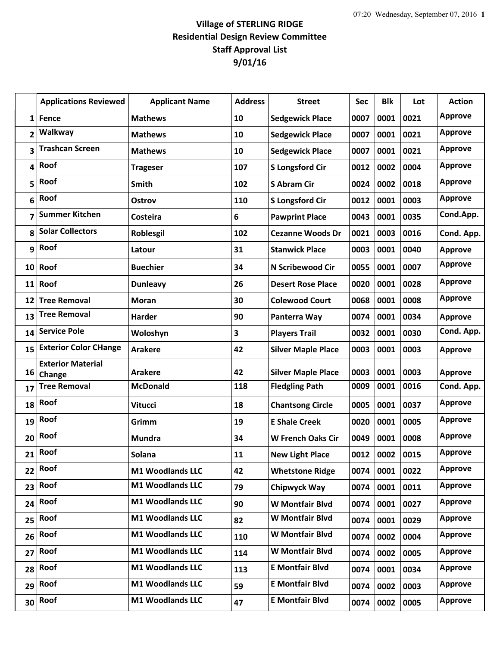## **Village of STERLING RIDGE Residential Design Review Committee Staff Approval List 9/01/16**

|              | <b>Applications Reviewed</b>       | <b>Applicant Name</b>   | <b>Address</b> | <b>Street</b>             | Sec  | <b>Blk</b> | Lot  | <b>Action</b>  |
|--------------|------------------------------------|-------------------------|----------------|---------------------------|------|------------|------|----------------|
| $\mathbf{1}$ | Fence                              | <b>Mathews</b>          | 10             | <b>Sedgewick Place</b>    | 0007 | 0001       | 0021 | <b>Approve</b> |
| 2            | Walkway                            | <b>Mathews</b>          | 10             | <b>Sedgewick Place</b>    | 0007 | 0001       | 0021 | <b>Approve</b> |
| 3            | <b>Trashcan Screen</b>             | <b>Mathews</b>          | 10             | <b>Sedgewick Place</b>    | 0007 | 0001       | 0021 | <b>Approve</b> |
| 4            | Roof                               | <b>Trageser</b>         | 107            | <b>S Longsford Cir</b>    | 0012 | 0002       | 0004 | <b>Approve</b> |
| 5            | Roof                               | <b>Smith</b>            | 102            | <b>S Abram Cir</b>        | 0024 | 0002       | 0018 | <b>Approve</b> |
| 6            | Roof                               | Ostrov                  | 110            | <b>S Longsford Cir</b>    | 0012 | 0001       | 0003 | <b>Approve</b> |
| 7            | <b>Summer Kitchen</b>              | Costeira                | 6              | <b>Pawprint Place</b>     | 0043 | 0001       | 0035 | Cond.App.      |
| 8            | <b>Solar Collectors</b>            | Roblesgil               | 102            | <b>Cezanne Woods Dr</b>   | 0021 | 0003       | 0016 | Cond. App.     |
| 9            | Roof                               | Latour                  | 31             | <b>Stanwick Place</b>     | 0003 | 0001       | 0040 | <b>Approve</b> |
| 10           | Roof                               | <b>Buechier</b>         | 34             | N Scribewood Cir          | 0055 | 0001       | 0007 | <b>Approve</b> |
|              | $11$ Roof                          | <b>Dunleavy</b>         | 26             | <b>Desert Rose Place</b>  | 0020 | 0001       | 0028 | <b>Approve</b> |
| 12           | <b>Tree Removal</b>                | <b>Moran</b>            | 30             | <b>Colewood Court</b>     | 0068 | 0001       | 0008 | <b>Approve</b> |
| 13           | <b>Tree Removal</b>                | Harder                  | 90             | Panterra Way              | 0074 | 0001       | 0034 | <b>Approve</b> |
| 14           | <b>Service Pole</b>                | Woloshyn                | 3              | <b>Players Trail</b>      | 0032 | 0001       | 0030 | Cond. App.     |
| 15           | <b>Exterior Color CHange</b>       | <b>Arakere</b>          | 42             | <b>Silver Maple Place</b> | 0003 | 0001       | 0003 | <b>Approve</b> |
| 16           | <b>Exterior Material</b><br>Change | <b>Arakere</b>          | 42             | <b>Silver Maple Place</b> | 0003 | 0001       | 0003 | <b>Approve</b> |
| 17           | <b>Tree Removal</b>                | <b>McDonald</b>         | 118            | <b>Fledgling Path</b>     | 0009 | 0001       | 0016 | Cond. App.     |
| 18           | Roof                               | <b>Vitucci</b>          | 18             | <b>Chantsong Circle</b>   | 0005 | 0001       | 0037 | <b>Approve</b> |
| 19           | Roof                               | Grimm                   | 19             | <b>E Shale Creek</b>      | 0020 | 0001       | 0005 | <b>Approve</b> |
| 20           | Roof                               | <b>Mundra</b>           | 34             | <b>W French Oaks Cir</b>  | 0049 | 0001       | 0008 | <b>Approve</b> |
| 21           | Roof                               | Solana                  | 11             | <b>New Light Place</b>    | 0012 | 0002       | 0015 | <b>Approve</b> |
| 22           | Roof                               | M1 Woodlands LLC        | 42             | <b>Whetstone Ridge</b>    | 0074 | 0001       | 0022 | <b>Approve</b> |
| 23           | Roof                               | <b>M1 Woodlands LLC</b> | 79             | <b>Chipwyck Way</b>       | 0074 | 0001       | 0011 | <b>Approve</b> |
| 24           | Roof                               | M1 Woodlands LLC        | 90             | <b>W Montfair Blvd</b>    | 0074 | 0001       | 0027 | <b>Approve</b> |
| 25           | Roof                               | M1 Woodlands LLC        | 82             | W Montfair Blvd           | 0074 | 0001       | 0029 | <b>Approve</b> |
| 26           | Roof                               | M1 Woodlands LLC        | 110            | W Montfair Blvd           | 0074 | 0002       | 0004 | <b>Approve</b> |
| 27           | Roof                               | M1 Woodlands LLC        | 114            | W Montfair Blvd           | 0074 | 0002       | 0005 | <b>Approve</b> |
| 28           | Roof                               | M1 Woodlands LLC        | 113            | <b>E Montfair Blvd</b>    | 0074 | 0001       | 0034 | <b>Approve</b> |
| 29           | Roof                               | M1 Woodlands LLC        | 59             | <b>E Montfair Blvd</b>    | 0074 | 0002       | 0003 | <b>Approve</b> |
| 30           | Roof                               | M1 Woodlands LLC        | 47             | <b>E Montfair Blvd</b>    | 0074 | 0002       | 0005 | <b>Approve</b> |